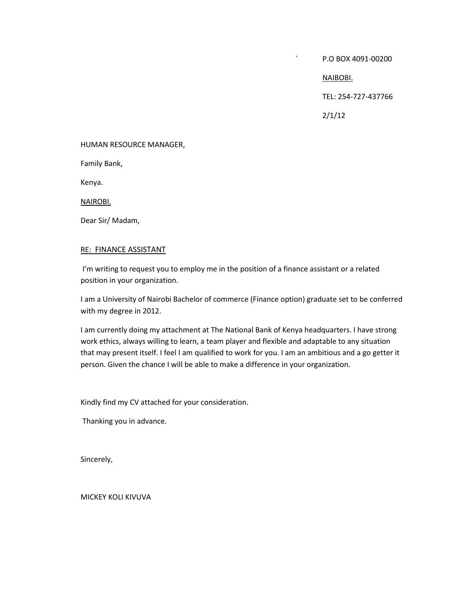` P.O BOX 4091-00200

NAIBOBI.

TEL: 254-727-437766

2/1/12

#### HUMAN RESOURCE MANAGER,

Family Bank,

Kenya.

NAIROBI.

Dear Sir/ Madam,

#### RE: FINANCE ASSISTANT

I'm writing to request you to employ me in the position of a finance assistant or a related position in your organization.

I am a University of Nairobi Bachelor of commerce (Finance option) graduate set to be conferred with my degree in 2012.

I am currently doing my attachment at The National Bank of Kenya headquarters. I have strong work ethics, always willing to learn, a team player and flexible and adaptable to any situation that may present itself. I feel I am qualified to work for you. I am an ambitious and a go getter it person. Given the chance I will be able to make a difference in your organization.

Kindly find my CV attached for your consideration.

Thanking you in advance.

Sincerely,

MICKEY KOLI KIVUVA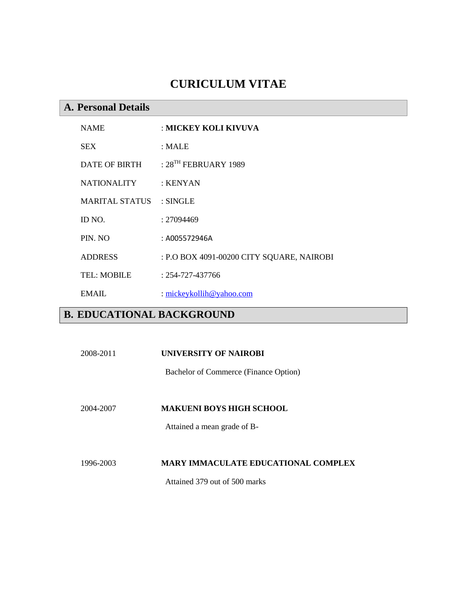# **CURICULUM VITAE**

## **A. Personal Details**

| <b>NAME</b>        | : MICKEY KOLI KIVUVA                      |
|--------------------|-------------------------------------------|
| <b>SEX</b>         | : MALE                                    |
| DATE OF BIRTH      | : $28^{TH}$ FEBRUARY 1989                 |
| <b>NATIONALITY</b> | : KENYAN                                  |
| MARITAL STATUS     | $:$ SINGLE                                |
| ID NO.             | : 27094469                                |
| PIN. NO            | : A005572946A                             |
| <b>ADDRESS</b>     | : P.O BOX 4091-00200 CITY SQUARE, NAIROBI |
| <b>TEL: MOBILE</b> | $: 254 - 727 - 437766$                    |
| EMAIL.             | : mickeykollih@yahoo.com                  |

# **B. EDUCATIONAL BACKGROUND**

#### 2008-2011 **UNIVERSITY OF NAIROBI**

Bachelor of Commerce (Finance Option)

2004-2007 **MAKUENI BOYS HIGH SCHOOL**

Attained a mean grade of B-

## 1996-2003 **MARY IMMACULATE EDUCATIONAL COMPLEX**

Attained 379 out of 500 marks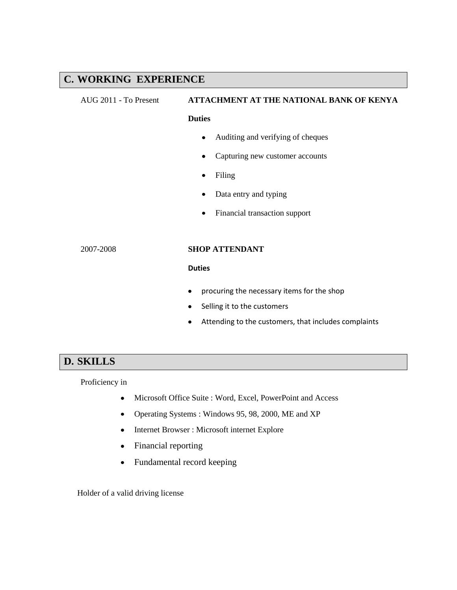## **C. WORKING EXPERIENCE**

# AUG 2011 - To Present **ATTACHMENT AT THE NATIONAL BANK OF KENYA**

#### **Duties**

- Auditing and verifying of cheques
- Capturing new customer accounts  $\bullet$
- Filing
- Data entry and typing  $\bullet$
- Financial transaction support

#### 2007-2008 **SHOP ATTENDANT**

#### **Duties**

- procuring the necessary items for the shop
- Selling it to the customers
- Attending to the customers, that includes complaints  $\bullet$

## **D. SKILLS**

Proficiency in

- Microsoft Office Suite : Word, Excel, PowerPoint and Access  $\bullet$
- Operating Systems : Windows 95, 98, 2000, ME and XP  $\bullet$
- $\bullet$ Internet Browser : Microsoft internet Explore
- Financial reporting  $\bullet$
- Fundamental record keeping  $\bullet$

Holder of a valid driving license